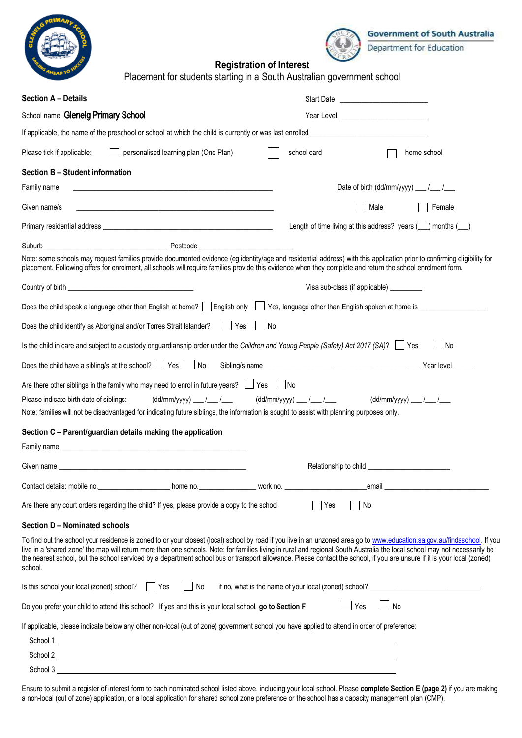



## **Registration of Interest**

| « <sub>Иелр</sub> тс<br>Placement for students starting in a South Australian government school                                                                                                                                                                                                                                                                                                                                                                                                                                               |                                                                                                                   |  |  |  |  |
|-----------------------------------------------------------------------------------------------------------------------------------------------------------------------------------------------------------------------------------------------------------------------------------------------------------------------------------------------------------------------------------------------------------------------------------------------------------------------------------------------------------------------------------------------|-------------------------------------------------------------------------------------------------------------------|--|--|--|--|
| <b>Section A - Details</b>                                                                                                                                                                                                                                                                                                                                                                                                                                                                                                                    |                                                                                                                   |  |  |  |  |
| School name: Glenelg Primary School                                                                                                                                                                                                                                                                                                                                                                                                                                                                                                           | Year Level <u>________________________</u>                                                                        |  |  |  |  |
| If applicable, the name of the preschool or school at which the child is currently or was last enrolled                                                                                                                                                                                                                                                                                                                                                                                                                                       |                                                                                                                   |  |  |  |  |
| Please tick if applicable:<br>personalised learning plan (One Plan)<br>$\mathbf{I}$                                                                                                                                                                                                                                                                                                                                                                                                                                                           | school card<br>home school                                                                                        |  |  |  |  |
| Section B - Student information                                                                                                                                                                                                                                                                                                                                                                                                                                                                                                               |                                                                                                                   |  |  |  |  |
| Family name                                                                                                                                                                                                                                                                                                                                                                                                                                                                                                                                   | Date of birth $(dd/mm/yyyy)$ ___ $/$ ___ $/$                                                                      |  |  |  |  |
| Given name/s<br><u> 1980 - Jan James James James James James James James James James James James James James James James James Ja</u>                                                                                                                                                                                                                                                                                                                                                                                                         | Female<br>Male                                                                                                    |  |  |  |  |
|                                                                                                                                                                                                                                                                                                                                                                                                                                                                                                                                               | Length of time living at this address? years ( in months ( in the living at this address? years ( in the months ( |  |  |  |  |
| Suburb                                                                                                                                                                                                                                                                                                                                                                                                                                                                                                                                        |                                                                                                                   |  |  |  |  |
| Note: some schools may request families provide documented evidence (eg identity/age and residential address) with this application prior to confirming eligibility for<br>placement. Following offers for enrolment, all schools will require families provide this evidence when they complete and return the school enrolment form.                                                                                                                                                                                                        |                                                                                                                   |  |  |  |  |
|                                                                                                                                                                                                                                                                                                                                                                                                                                                                                                                                               | Visa sub-class (if applicable) _________                                                                          |  |  |  |  |
| Does the child speak a language other than English at home?     English only     Yes, language other than English spoken at home is _ _ _ _ _ _ _ _ _ _ _ _ _ _ _                                                                                                                                                                                                                                                                                                                                                                             |                                                                                                                   |  |  |  |  |
| Does the child identify as Aboriginal and/or Torres Strait Islander?<br>l No<br>Yes                                                                                                                                                                                                                                                                                                                                                                                                                                                           |                                                                                                                   |  |  |  |  |
| Is the child in care and subject to a custody or guardianship order under the Children and Young People (Safety) Act 2017 (SA)?                                                                                                                                                                                                                                                                                                                                                                                                               | $\blacksquare$ No                                                                                                 |  |  |  |  |
| Does the child have a sibling/s at the school? $\Box$ Yes $\Box$ No                                                                                                                                                                                                                                                                                                                                                                                                                                                                           | Sibling/s name<br>Year level                                                                                      |  |  |  |  |
| Are there other siblings in the family who may need to enrol in future years? $\Box$ Yes $\Box$ No                                                                                                                                                                                                                                                                                                                                                                                                                                            |                                                                                                                   |  |  |  |  |
| Please indicate birth date of siblings:<br>$(dd/mm/yyyy)$ ___ /___ /___<br>Note: families will not be disadvantaged for indicating future siblings, the information is sought to assist with planning purposes only.                                                                                                                                                                                                                                                                                                                          | $(dd/mm/yyyy)$ ___ /___ /___<br>$(dd/\text{mm/yyy})$ ___ /___ /___                                                |  |  |  |  |
| Section C - Parent/guardian details making the application                                                                                                                                                                                                                                                                                                                                                                                                                                                                                    |                                                                                                                   |  |  |  |  |
| Family name _<br><u> 1980 - Johann Stoff, Amerikaansk politiker († 1908)</u>                                                                                                                                                                                                                                                                                                                                                                                                                                                                  |                                                                                                                   |  |  |  |  |
|                                                                                                                                                                                                                                                                                                                                                                                                                                                                                                                                               |                                                                                                                   |  |  |  |  |
|                                                                                                                                                                                                                                                                                                                                                                                                                                                                                                                                               | email and the contract of the contract of the contract of the contract of the contract of the contract of the     |  |  |  |  |
| Are there any court orders regarding the child? If yes, please provide a copy to the school                                                                                                                                                                                                                                                                                                                                                                                                                                                   | Yes<br>No                                                                                                         |  |  |  |  |
| Section D - Nominated schools                                                                                                                                                                                                                                                                                                                                                                                                                                                                                                                 |                                                                                                                   |  |  |  |  |
| To find out the school your residence is zoned to or your closest (local) school by road if you live in an unzoned area go to www.education.sa.gov.au/findaschool. If you<br>live in a 'shared zone' the map will return more than one schools. Note: for families living in rural and regional South Australia the local school may not necessarily be<br>the nearest school, but the school serviced by a department school bus or transport allowance. Please contact the school, if you are unsure if it is your local (zoned)<br>school. |                                                                                                                   |  |  |  |  |
| Is this school your local (zoned) school?     Yes<br>No                                                                                                                                                                                                                                                                                                                                                                                                                                                                                       |                                                                                                                   |  |  |  |  |
| Do you prefer your child to attend this school? If yes and this is your local school, go to Section F                                                                                                                                                                                                                                                                                                                                                                                                                                         | $\Box$ Yes<br>$\Box$ No                                                                                           |  |  |  |  |
| If applicable, please indicate below any other non-local (out of zone) government school you have applied to attend in order of preference:<br>School 2                                                                                                                                                                                                                                                                                                                                                                                       |                                                                                                                   |  |  |  |  |
| School 3                                                                                                                                                                                                                                                                                                                                                                                                                                                                                                                                      |                                                                                                                   |  |  |  |  |

Ensure to submit a register of interest form to each nominated school listed above, including your local school. Please **complete Section E (page 2)** if you are making a non-local (out of zone) application, or a local application for shared school zone preference or the school has a capacity management plan (CMP).